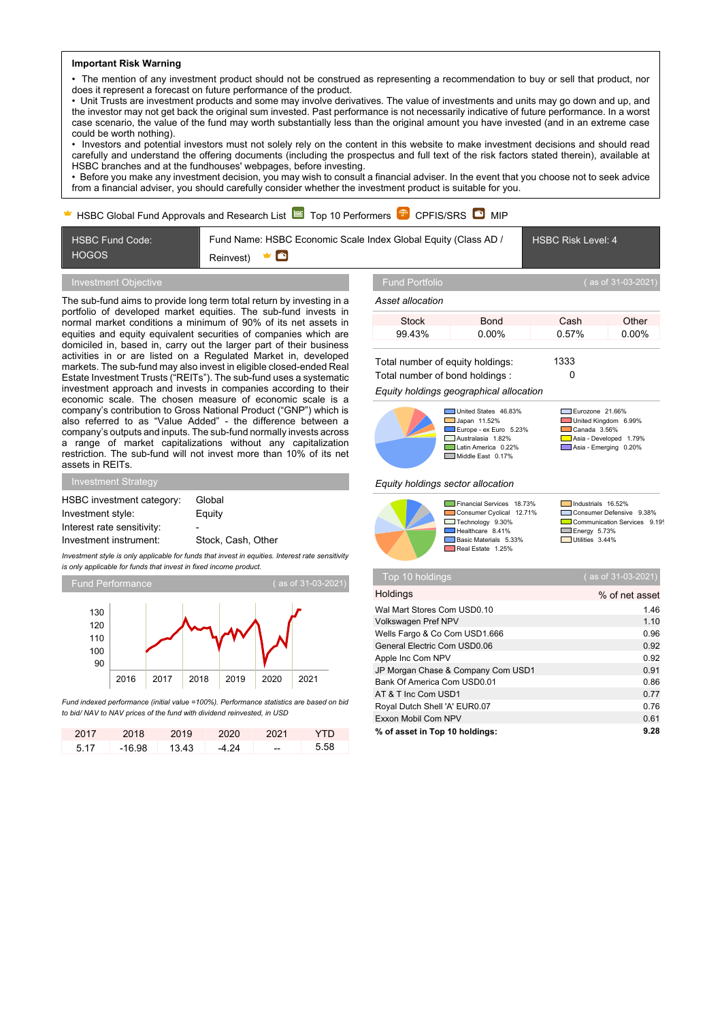#### **Important Risk Warning**

• The mention of any investment product should not be construed as representing a recommendation to buy or sell that product, nor does it represent a forecast on future performance of the product.

• Unit Trusts are investment products and some may involve derivatives. The value of investments and units may go down and up, and the investor may not get back the original sum invested. Past performance is not necessarily indicative of future performance. In a worst case scenario, the value of the fund may worth substantially less than the original amount you have invested (and in an extreme case could be worth nothing).

• Investors and potential investors must not solely rely on the content in this website to make investment decisions and should read carefully and understand the offering documents (including the prospectus and full text of the risk factors stated therein), available at HSBC branches and at the fundhouses' webpages, before investing.

• Before you make any investment decision, you may wish to consult a financial adviser. In the event that you choose not to seek advice from a financial adviser, you should carefully consider whether the investment product is suitable for you.

### HSBC Global Fund Approvals and Research List  $\approx$  Top 10 Performers  $\mathbb{P}$  CPFIS/SRS  $\bullet$  MIP



## Investment Objective

The sub-fund aims to provide long term total return by investing in a portfolio of developed market equities. The sub-fund invests in normal market conditions a minimum of 90% of its net assets in equities and equity equivalent securities of companies which are domiciled in, based in, carry out the larger part of their business activities in or are listed on a Regulated Market in, developed markets. The sub-fund may also invest in eligible closed-ended Real Estate Investment Trusts ("REITs"). The sub-fund uses a systematic investment approach and invests in companies according to their economic scale. The chosen measure of economic scale is a company's contribution to Gross National Product ("GNP") which is also referred to as "Value Added" - the difference between a company's outputs and inputs. The sub-fund normally invests across a range of market capitalizations without any capitalization restriction. The sub-fund will not invest more than 10% of its net assets in REITs.

| Global                   |
|--------------------------|
| Equity                   |
| $\overline{\phantom{0}}$ |
| Stock, Cash, Other       |
|                          |

*Investment style is only applicable for funds that invest in equities. Interest rate sensitivity is only applicable for funds that invest in fixed income product.*



*Fund indexed performance (initial value =100%). Performance statistics are based on bid to bid/ NAV to NAV prices of the fund with dividend reinvested, in USD*

| 2017 | 2018     | 2019  | 2020  | - 2021 | <b>YTD</b> |
|------|----------|-------|-------|--------|------------|
| 5.17 | $-16.98$ | 13.43 | -4.24 | $-$    | - 5.58     |

#### *Asset allocation*

| Stock  | Bond     | Cash  | Other    |
|--------|----------|-------|----------|
| 99.43% | $0.00\%$ | 0.57% | $0.00\%$ |
|        |          |       |          |

Total number of equity holdings: 1333 Total number of bond holdings : 0



### *Equity holdings geographical allocation*



■United States 46.83% Eurozone 21.66%<br>■ Japan 11.52% ■ United Kingdom 6 Japan 11.52% United Kingdom 6.99% **Europe - ex Euro 5.23%** Canada 3.56%<br>Australasia 1.82% Canada 3.56% Australasia 1.82% Asia - Developed 1.79% Middle East 0.17%

**Latin Asia - Emerging 0.20%** 

#### *Equity holdings sector allocation*



Financial Services 18.73% Industrials 16.52% Industrials 16.52% ■ Technology 9.30% ■ Communication<br>
Healthcare 8.41% ■ Energy 5.73%<br>
Basic Materials 5.33% ■ Utilities 3.44% **Basic Materials** 5.33% Real Estate 1.25%

Financial Services 18.73% <u>Laudit</u> Industrials 16.52%<br>Consumer Cyclical 12.71% <u>Consumer Defensive 9.38%</u><br>Technology 9.30% Communication Services 9.19%

| Top 10 holdings                    | (as of 31-03-2021) |
|------------------------------------|--------------------|
| Holdings                           | % of net asset     |
| Wal Mart Stores Com USD0.10        | 1.46               |
| Volkswagen Pref NPV                | 1.10               |
| Wells Fargo & Co Com USD1.666      | 0.96               |
| General Electric Com USD0.06       | 0.92               |
| Apple Inc Com NPV                  | 0.92               |
| JP Morgan Chase & Company Com USD1 | 0.91               |
| Bank Of America Com USD0.01        | 0.86               |
| AT & T Inc Com USD1                | 0.77               |
| Royal Dutch Shell 'A' EUR0.07      | 0.76               |
| Exxon Mobil Com NPV                | 0.61               |
| % of asset in Top 10 holdings:     | 9.28               |